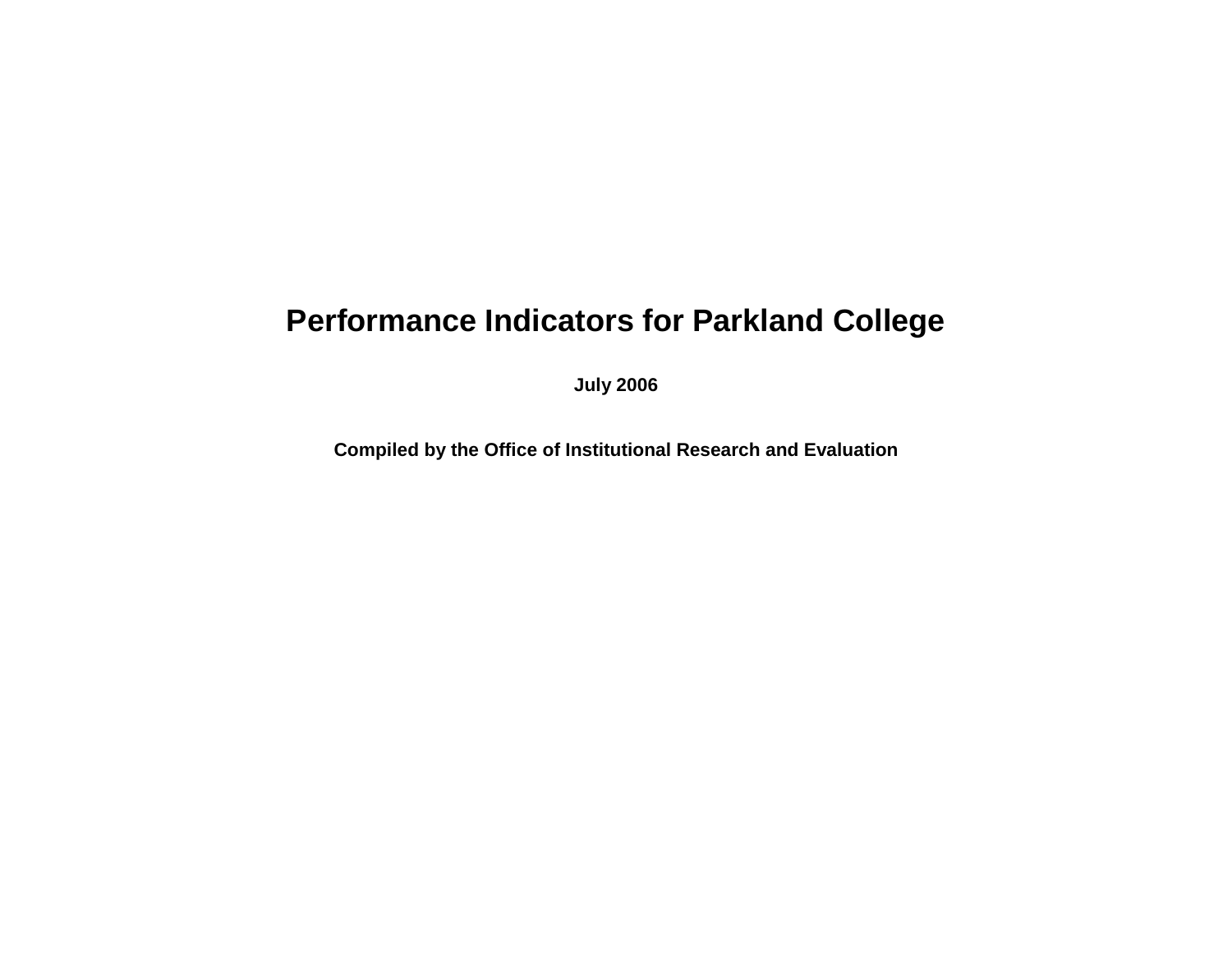## **Performance Indicators for Parkland College**

**July 2006**

**Compiled by the Office of Institutional Research and Evaluation**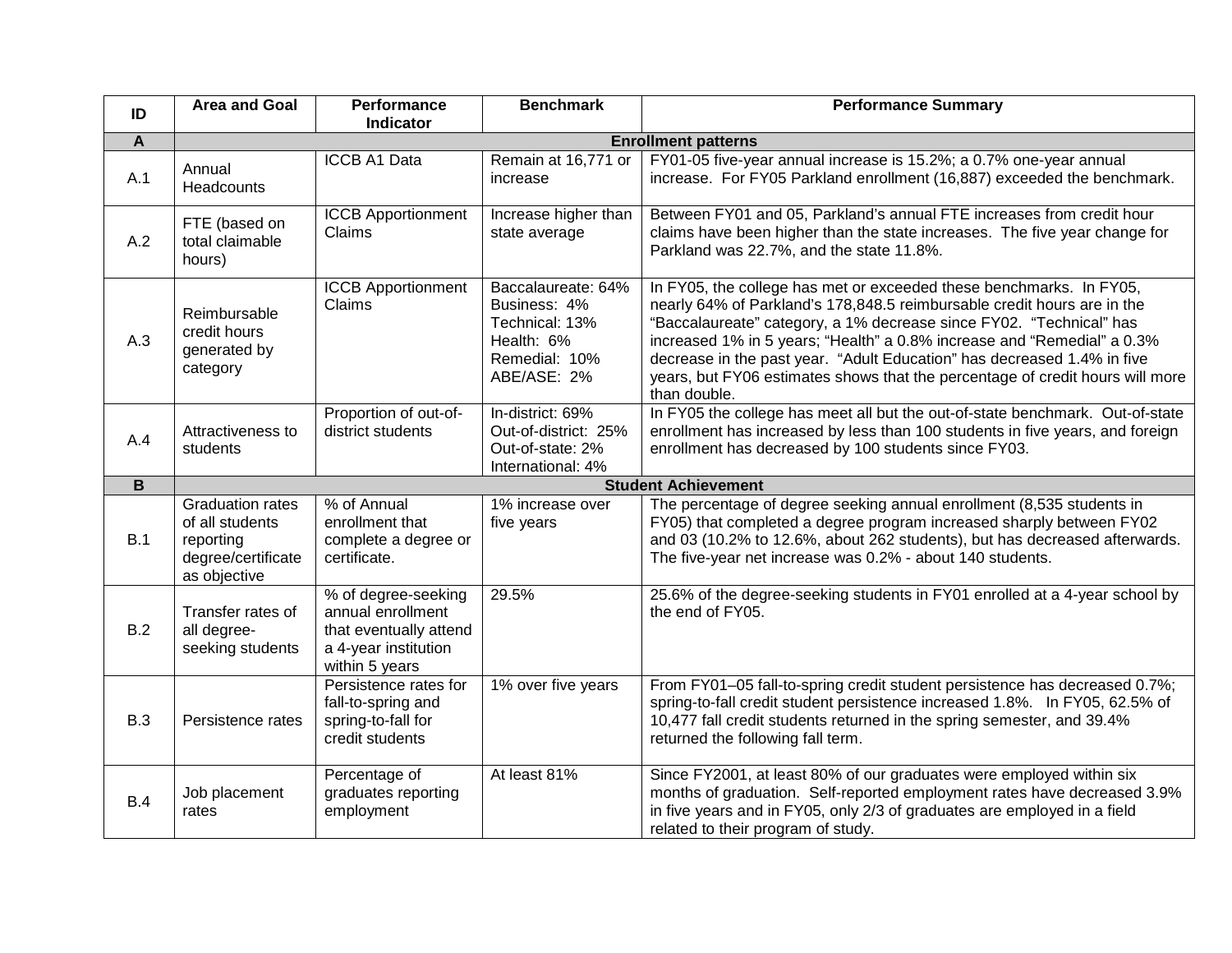| ID          | <b>Area and Goal</b>                                                                          | Performance<br><b>Indicator</b>                                                                              | <b>Benchmark</b>                                                                                   | <b>Performance Summary</b>                                                                                                                                                                                                                                                                                                                                                                                                                                                   |  |
|-------------|-----------------------------------------------------------------------------------------------|--------------------------------------------------------------------------------------------------------------|----------------------------------------------------------------------------------------------------|------------------------------------------------------------------------------------------------------------------------------------------------------------------------------------------------------------------------------------------------------------------------------------------------------------------------------------------------------------------------------------------------------------------------------------------------------------------------------|--|
| A           | <b>Enrollment patterns</b>                                                                    |                                                                                                              |                                                                                                    |                                                                                                                                                                                                                                                                                                                                                                                                                                                                              |  |
| A.1         | Annual<br>Headcounts                                                                          | ICCB A1 Data                                                                                                 | Remain at 16,771 or<br>increase                                                                    | FY01-05 five-year annual increase is 15.2%; a 0.7% one-year annual<br>increase. For FY05 Parkland enrollment (16,887) exceeded the benchmark.                                                                                                                                                                                                                                                                                                                                |  |
| A.2         | FTE (based on<br>total claimable<br>hours)                                                    | <b>ICCB Apportionment</b><br>Claims                                                                          | Increase higher than<br>state average                                                              | Between FY01 and 05, Parkland's annual FTE increases from credit hour<br>claims have been higher than the state increases. The five year change for<br>Parkland was 22.7%, and the state 11.8%.                                                                                                                                                                                                                                                                              |  |
| A.3         | Reimbursable<br>credit hours<br>generated by<br>category                                      | <b>ICCB Apportionment</b><br>Claims                                                                          | Baccalaureate: 64%<br>Business: 4%<br>Technical: 13%<br>Health: 6%<br>Remedial: 10%<br>ABE/ASE: 2% | In FY05, the college has met or exceeded these benchmarks. In FY05,<br>nearly 64% of Parkland's 178,848.5 reimbursable credit hours are in the<br>"Baccalaureate" category, a 1% decrease since FY02. "Technical" has<br>increased 1% in 5 years; "Health" a 0.8% increase and "Remedial" a 0.3%<br>decrease in the past year. "Adult Education" has decreased 1.4% in five<br>years, but FY06 estimates shows that the percentage of credit hours will more<br>than double. |  |
| A.4         | Attractiveness to<br>students                                                                 | Proportion of out-of-<br>district students                                                                   | In-district: 69%<br>Out-of-district: 25%<br>Out-of-state: 2%<br>International: 4%                  | In FY05 the college has meet all but the out-of-state benchmark. Out-of-state<br>enrollment has increased by less than 100 students in five years, and foreign<br>enrollment has decreased by 100 students since FY03.                                                                                                                                                                                                                                                       |  |
| $\mathbf B$ |                                                                                               |                                                                                                              |                                                                                                    | <b>Student Achievement</b>                                                                                                                                                                                                                                                                                                                                                                                                                                                   |  |
| B.1         | <b>Graduation rates</b><br>of all students<br>reporting<br>degree/certificate<br>as objective | % of Annual<br>enrollment that<br>complete a degree or<br>certificate.                                       | 1% increase over<br>five years                                                                     | The percentage of degree seeking annual enrollment (8,535 students in<br>FY05) that completed a degree program increased sharply between FY02<br>and 03 (10.2% to 12.6%, about 262 students), but has decreased afterwards.<br>The five-year net increase was 0.2% - about 140 students.                                                                                                                                                                                     |  |
| B.2         | Transfer rates of<br>all degree-<br>seeking students                                          | % of degree-seeking<br>annual enrollment<br>that eventually attend<br>a 4-year institution<br>within 5 years | 29.5%                                                                                              | 25.6% of the degree-seeking students in FY01 enrolled at a 4-year school by<br>the end of FY05.                                                                                                                                                                                                                                                                                                                                                                              |  |
| B.3         | Persistence rates                                                                             | Persistence rates for<br>fall-to-spring and<br>spring-to-fall for<br>credit students                         | 1% over five years                                                                                 | From FY01-05 fall-to-spring credit student persistence has decreased 0.7%;<br>spring-to-fall credit student persistence increased 1.8%. In FY05, 62.5% of<br>10,477 fall credit students returned in the spring semester, and 39.4%<br>returned the following fall term.                                                                                                                                                                                                     |  |
| B.4         | Job placement<br>rates                                                                        | Percentage of<br>graduates reporting<br>employment                                                           | At least 81%                                                                                       | Since FY2001, at least 80% of our graduates were employed within six<br>months of graduation. Self-reported employment rates have decreased 3.9%<br>in five years and in FY05, only 2/3 of graduates are employed in a field<br>related to their program of study.                                                                                                                                                                                                           |  |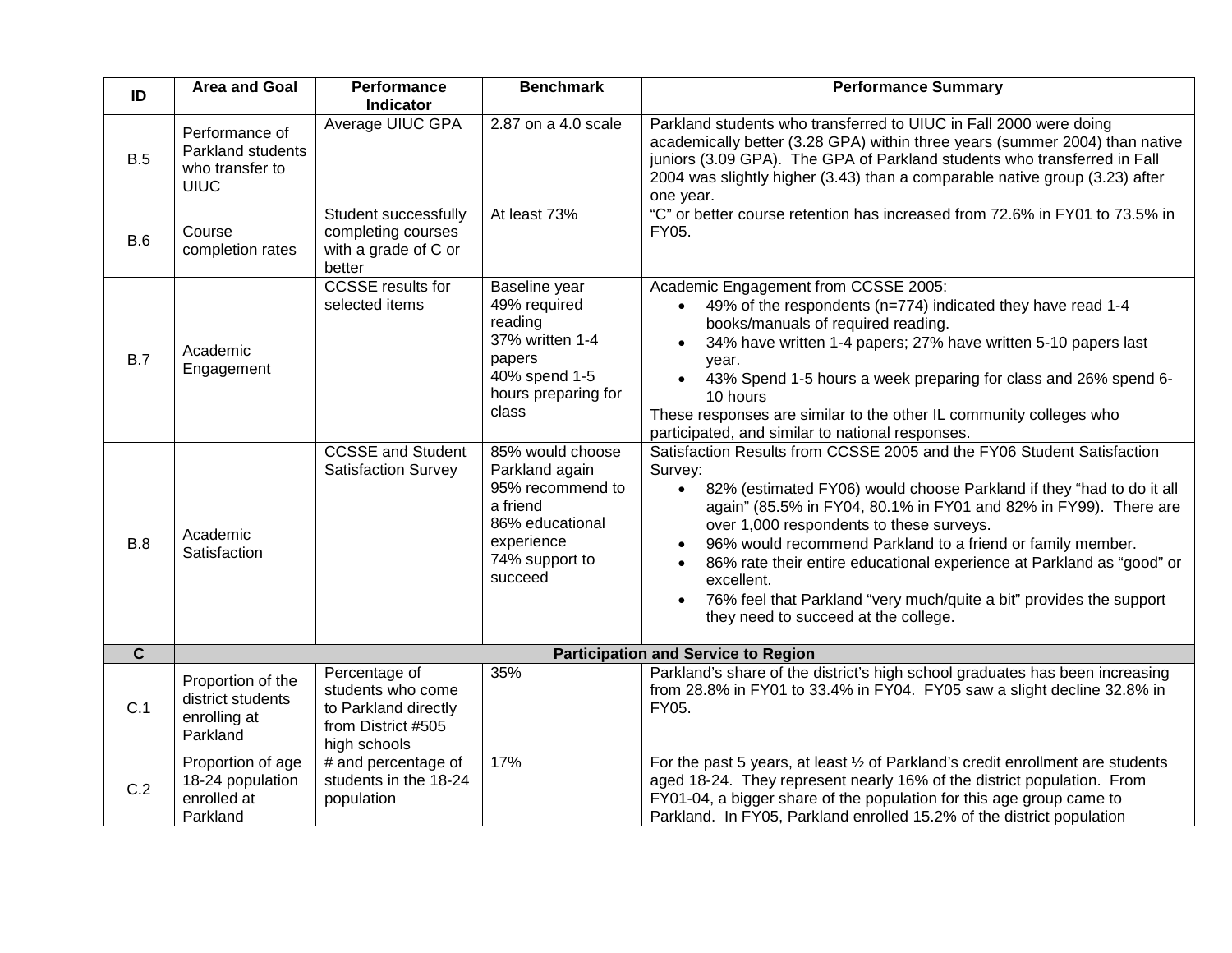| ID             | <b>Area and Goal</b>                                                  | Performance<br><b>Indicator</b>                                                                  | <b>Benchmark</b>                                                                                                                 | <b>Performance Summary</b>                                                                                                                                                                                                                                                                                                                                                                                                                                                                                                                                                           |  |
|----------------|-----------------------------------------------------------------------|--------------------------------------------------------------------------------------------------|----------------------------------------------------------------------------------------------------------------------------------|--------------------------------------------------------------------------------------------------------------------------------------------------------------------------------------------------------------------------------------------------------------------------------------------------------------------------------------------------------------------------------------------------------------------------------------------------------------------------------------------------------------------------------------------------------------------------------------|--|
| B.5            | Performance of<br>Parkland students<br>who transfer to<br><b>UIUC</b> | Average UIUC GPA                                                                                 | 2.87 on a 4.0 scale                                                                                                              | Parkland students who transferred to UIUC in Fall 2000 were doing<br>academically better (3.28 GPA) within three years (summer 2004) than native<br>juniors (3.09 GPA). The GPA of Parkland students who transferred in Fall<br>2004 was slightly higher (3.43) than a comparable native group (3.23) after<br>one year.                                                                                                                                                                                                                                                             |  |
| B.6            | Course<br>completion rates                                            | Student successfully<br>completing courses<br>with a grade of C or<br>better                     | At least 73%                                                                                                                     | "C" or better course retention has increased from 72.6% in FY01 to 73.5% in<br>FY05.                                                                                                                                                                                                                                                                                                                                                                                                                                                                                                 |  |
| B.7            | Academic<br>Engagement                                                | <b>CCSSE</b> results for<br>selected items                                                       | Baseline year<br>49% required<br>reading<br>37% written 1-4<br>papers<br>40% spend 1-5<br>hours preparing for<br>class           | Academic Engagement from CCSSE 2005:<br>49% of the respondents (n=774) indicated they have read 1-4<br>books/manuals of required reading.<br>34% have written 1-4 papers; 27% have written 5-10 papers last<br>year.<br>43% Spend 1-5 hours a week preparing for class and 26% spend 6-<br>10 hours<br>These responses are similar to the other IL community colleges who<br>participated, and similar to national responses.                                                                                                                                                        |  |
| B.8            | Academic<br>Satisfaction                                              | <b>CCSSE and Student</b><br><b>Satisfaction Survey</b>                                           | 85% would choose<br>Parkland again<br>95% recommend to<br>a friend<br>86% educational<br>experience<br>74% support to<br>succeed | Satisfaction Results from CCSSE 2005 and the FY06 Student Satisfaction<br>Survey:<br>82% (estimated FY06) would choose Parkland if they "had to do it all<br>$\bullet$<br>again" (85.5% in FY04, 80.1% in FY01 and 82% in FY99). There are<br>over 1,000 respondents to these surveys.<br>96% would recommend Parkland to a friend or family member.<br>86% rate their entire educational experience at Parkland as "good" or<br>$\bullet$<br>excellent.<br>76% feel that Parkland "very much/quite a bit" provides the support<br>$\bullet$<br>they need to succeed at the college. |  |
| $\overline{c}$ |                                                                       |                                                                                                  |                                                                                                                                  | <b>Participation and Service to Region</b>                                                                                                                                                                                                                                                                                                                                                                                                                                                                                                                                           |  |
| C.1            | Proportion of the<br>district students<br>enrolling at<br>Parkland    | Percentage of<br>students who come<br>to Parkland directly<br>from District #505<br>high schools | 35%                                                                                                                              | Parkland's share of the district's high school graduates has been increasing<br>from 28.8% in FY01 to 33.4% in FY04. FY05 saw a slight decline 32.8% in<br>FY05.                                                                                                                                                                                                                                                                                                                                                                                                                     |  |
| C.2            | Proportion of age<br>18-24 population<br>enrolled at<br>Parkland      | # and percentage of<br>students in the 18-24<br>population                                       | 17%                                                                                                                              | For the past 5 years, at least 1/2 of Parkland's credit enrollment are students<br>aged 18-24. They represent nearly 16% of the district population. From<br>FY01-04, a bigger share of the population for this age group came to<br>Parkland. In FY05, Parkland enrolled 15.2% of the district population                                                                                                                                                                                                                                                                           |  |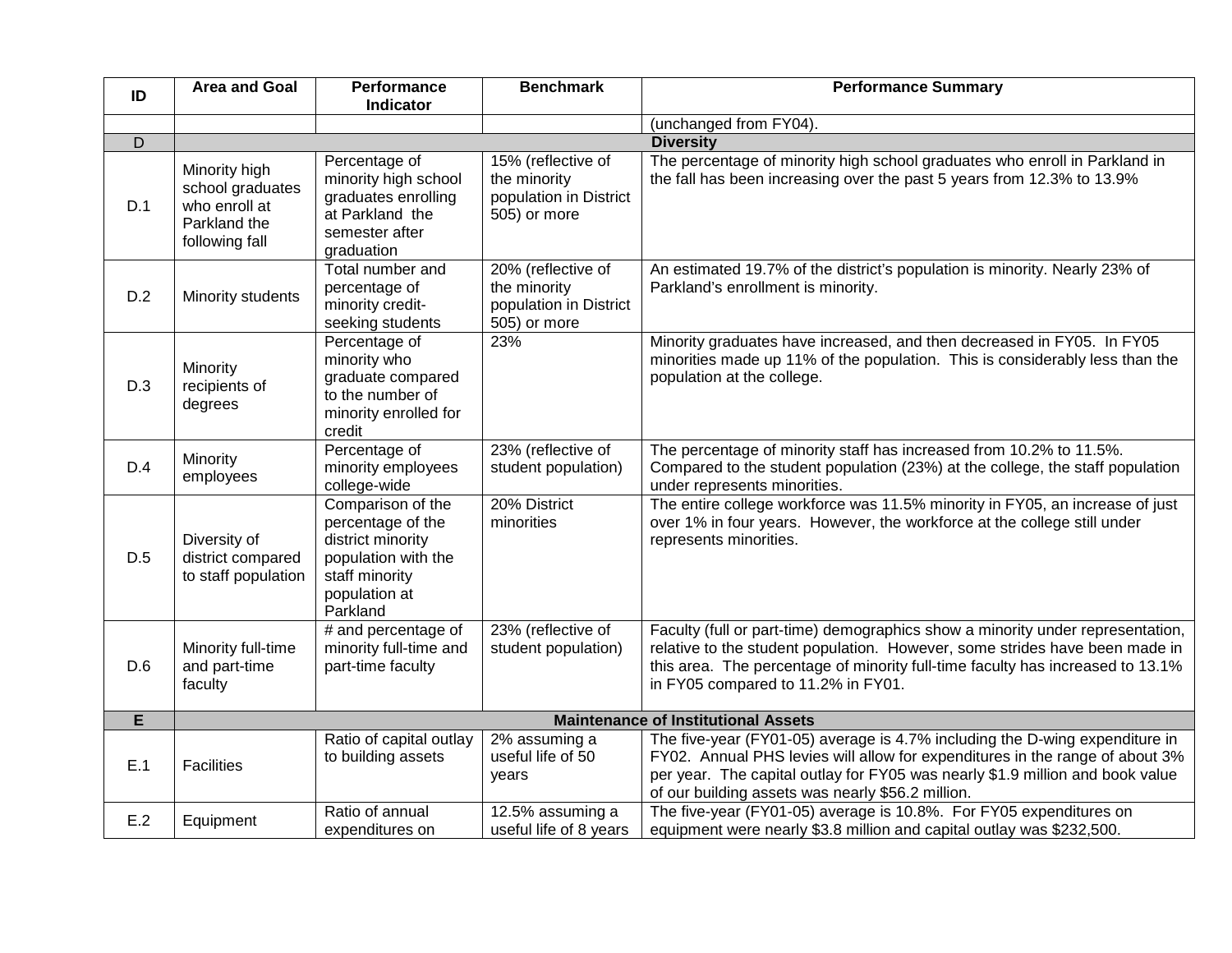| ID             | <b>Area and Goal</b>                                                                 | Performance<br><b>Indicator</b>                                                                                                   | <b>Benchmark</b>                                                             | <b>Performance Summary</b>                                                                                                                                                                                                                                                                        |  |  |
|----------------|--------------------------------------------------------------------------------------|-----------------------------------------------------------------------------------------------------------------------------------|------------------------------------------------------------------------------|---------------------------------------------------------------------------------------------------------------------------------------------------------------------------------------------------------------------------------------------------------------------------------------------------|--|--|
|                |                                                                                      |                                                                                                                                   |                                                                              | (unchanged from FY04).                                                                                                                                                                                                                                                                            |  |  |
| $\overline{D}$ | <b>Diversity</b>                                                                     |                                                                                                                                   |                                                                              |                                                                                                                                                                                                                                                                                                   |  |  |
| D.1            | Minority high<br>school graduates<br>who enroll at<br>Parkland the<br>following fall | Percentage of<br>minority high school<br>graduates enrolling<br>at Parkland the<br>semester after<br>graduation                   | 15% (reflective of<br>the minority<br>population in District<br>505) or more | The percentage of minority high school graduates who enroll in Parkland in<br>the fall has been increasing over the past 5 years from 12.3% to 13.9%                                                                                                                                              |  |  |
| D.2            | Minority students                                                                    | Total number and<br>percentage of<br>minority credit-<br>seeking students                                                         | 20% (reflective of<br>the minority<br>population in District<br>505) or more | An estimated 19.7% of the district's population is minority. Nearly 23% of<br>Parkland's enrollment is minority.                                                                                                                                                                                  |  |  |
| D.3            | Minority<br>recipients of<br>degrees                                                 | Percentage of<br>minority who<br>graduate compared<br>to the number of<br>minority enrolled for<br>credit                         | 23%                                                                          | Minority graduates have increased, and then decreased in FY05. In FY05<br>minorities made up 11% of the population. This is considerably less than the<br>population at the college.                                                                                                              |  |  |
| D.4            | Minority<br>employees                                                                | Percentage of<br>minority employees<br>college-wide                                                                               | 23% (reflective of<br>student population)                                    | The percentage of minority staff has increased from 10.2% to 11.5%.<br>Compared to the student population (23%) at the college, the staff population<br>under represents minorities.                                                                                                              |  |  |
| D.5            | Diversity of<br>district compared<br>to staff population                             | Comparison of the<br>percentage of the<br>district minority<br>population with the<br>staff minority<br>population at<br>Parkland | 20% District<br>minorities                                                   | The entire college workforce was 11.5% minority in FY05, an increase of just<br>over 1% in four years. However, the workforce at the college still under<br>represents minorities.                                                                                                                |  |  |
| D.6            | Minority full-time<br>and part-time<br>faculty                                       | # and percentage of<br>minority full-time and<br>part-time faculty                                                                | 23% (reflective of<br>student population)                                    | Faculty (full or part-time) demographics show a minority under representation,<br>relative to the student population. However, some strides have been made in<br>this area. The percentage of minority full-time faculty has increased to 13.1%<br>in FY05 compared to 11.2% in FY01.             |  |  |
| E              |                                                                                      |                                                                                                                                   |                                                                              | <b>Maintenance of Institutional Assets</b>                                                                                                                                                                                                                                                        |  |  |
| E.1            | <b>Facilities</b>                                                                    | Ratio of capital outlay<br>to building assets                                                                                     | 2% assuming a<br>useful life of 50<br>vears                                  | The five-year (FY01-05) average is 4.7% including the D-wing expenditure in<br>FY02. Annual PHS levies will allow for expenditures in the range of about 3%<br>per year. The capital outlay for FY05 was nearly \$1.9 million and book value<br>of our building assets was nearly \$56.2 million. |  |  |
| E.2            | Equipment                                                                            | Ratio of annual<br>expenditures on                                                                                                | 12.5% assuming a<br>useful life of 8 years                                   | The five-year (FY01-05) average is 10.8%. For FY05 expenditures on<br>equipment were nearly \$3.8 million and capital outlay was \$232,500.                                                                                                                                                       |  |  |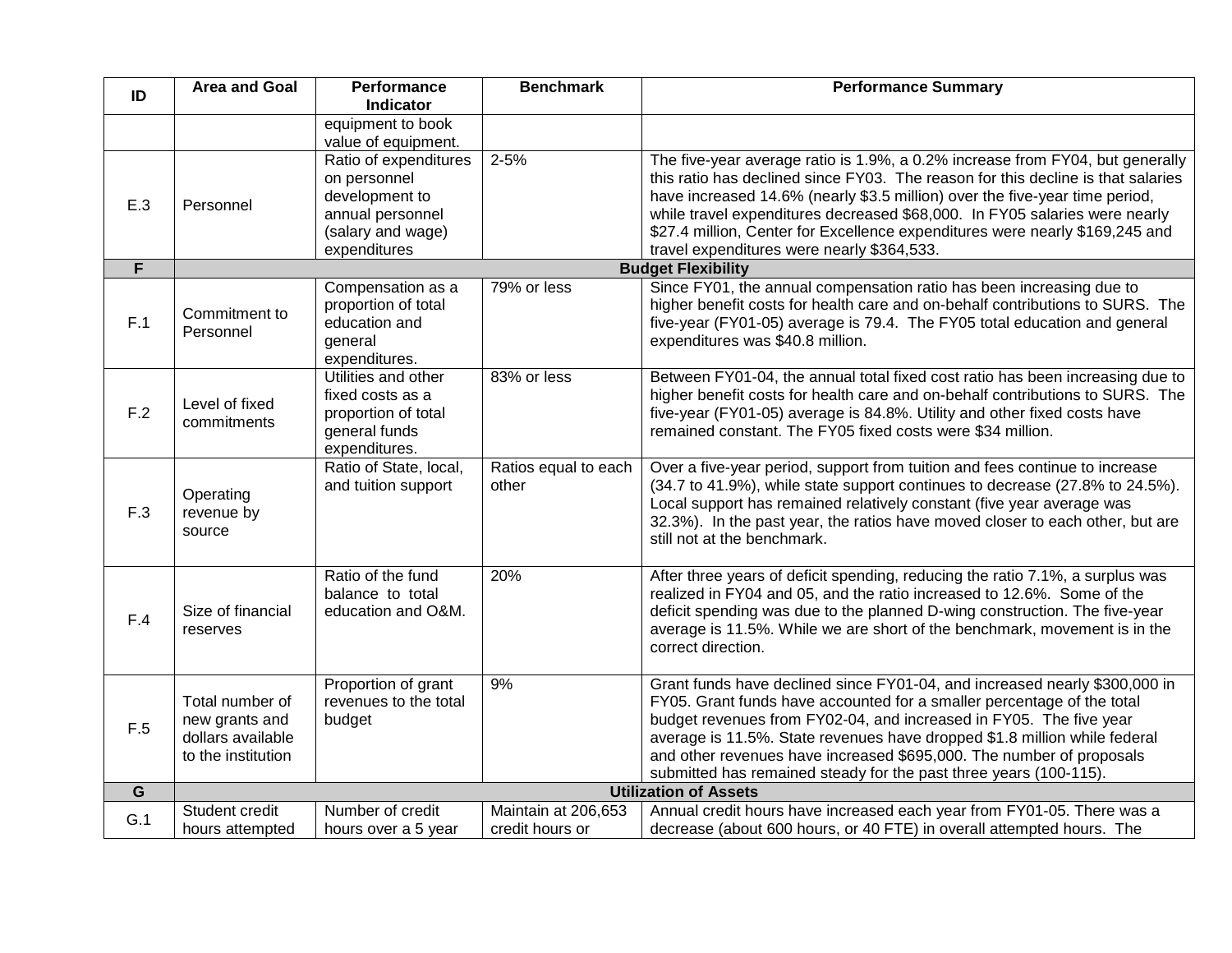| ID             | Area and Goal                                                                | Performance<br><b>Indicator</b>                                                                                  | <b>Benchmark</b>                       | <b>Performance Summary</b>                                                                                                                                                                                                                                                                                                                                                                                                                                   |
|----------------|------------------------------------------------------------------------------|------------------------------------------------------------------------------------------------------------------|----------------------------------------|--------------------------------------------------------------------------------------------------------------------------------------------------------------------------------------------------------------------------------------------------------------------------------------------------------------------------------------------------------------------------------------------------------------------------------------------------------------|
|                |                                                                              | equipment to book<br>value of equipment.                                                                         |                                        |                                                                                                                                                                                                                                                                                                                                                                                                                                                              |
| E.3            | Personnel                                                                    | Ratio of expenditures<br>on personnel<br>development to<br>annual personnel<br>(salary and wage)<br>expenditures | $2 - 5%$                               | The five-year average ratio is 1.9%, a 0.2% increase from FY04, but generally<br>this ratio has declined since FY03. The reason for this decline is that salaries<br>have increased 14.6% (nearly \$3.5 million) over the five-year time period,<br>while travel expenditures decreased \$68,000. In FY05 salaries were nearly<br>\$27.4 million, Center for Excellence expenditures were nearly \$169,245 and<br>travel expenditures were nearly \$364,533. |
| $\overline{F}$ |                                                                              |                                                                                                                  |                                        | <b>Budget Flexibility</b>                                                                                                                                                                                                                                                                                                                                                                                                                                    |
| F.1            | Commitment to<br>Personnel                                                   | Compensation as a<br>proportion of total<br>education and<br>general<br>expenditures.                            | 79% or less                            | Since FY01, the annual compensation ratio has been increasing due to<br>higher benefit costs for health care and on-behalf contributions to SURS. The<br>five-year (FY01-05) average is 79.4. The FY05 total education and general<br>expenditures was \$40.8 million.                                                                                                                                                                                       |
| F.2            | Level of fixed<br>commitments                                                | Utilities and other<br>fixed costs as a<br>proportion of total<br>general funds<br>expenditures.                 | 83% or less                            | Between FY01-04, the annual total fixed cost ratio has been increasing due to<br>higher benefit costs for health care and on-behalf contributions to SURS. The<br>five-year (FY01-05) average is 84.8%. Utility and other fixed costs have<br>remained constant. The FY05 fixed costs were \$34 million.                                                                                                                                                     |
| F.3            | Operating<br>revenue by<br>source                                            | Ratio of State, local,<br>and tuition support                                                                    | Ratios equal to each<br>other          | Over a five-year period, support from tuition and fees continue to increase<br>(34.7 to 41.9%), while state support continues to decrease (27.8% to 24.5%).<br>Local support has remained relatively constant (five year average was<br>32.3%). In the past year, the ratios have moved closer to each other, but are<br>still not at the benchmark.                                                                                                         |
| F.4            | Size of financial<br>reserves                                                | Ratio of the fund<br>balance to total<br>education and O&M.                                                      | 20%                                    | After three years of deficit spending, reducing the ratio 7.1%, a surplus was<br>realized in FY04 and 05, and the ratio increased to 12.6%. Some of the<br>deficit spending was due to the planned D-wing construction. The five-year<br>average is 11.5%. While we are short of the benchmark, movement is in the<br>correct direction.                                                                                                                     |
| F.5            | Total number of<br>new grants and<br>dollars available<br>to the institution | Proportion of grant<br>revenues to the total<br>budget                                                           | 9%                                     | Grant funds have declined since FY01-04, and increased nearly \$300,000 in<br>FY05. Grant funds have accounted for a smaller percentage of the total<br>budget revenues from FY02-04, and increased in FY05. The five year<br>average is 11.5%. State revenues have dropped \$1.8 million while federal<br>and other revenues have increased \$695,000. The number of proposals<br>submitted has remained steady for the past three years (100-115).         |
| G              |                                                                              |                                                                                                                  |                                        | <b>Utilization of Assets</b>                                                                                                                                                                                                                                                                                                                                                                                                                                 |
| G.1            | Student credit<br>hours attempted                                            | Number of credit<br>hours over a 5 year                                                                          | Maintain at 206,653<br>credit hours or | Annual credit hours have increased each year from FY01-05. There was a<br>decrease (about 600 hours, or 40 FTE) in overall attempted hours. The                                                                                                                                                                                                                                                                                                              |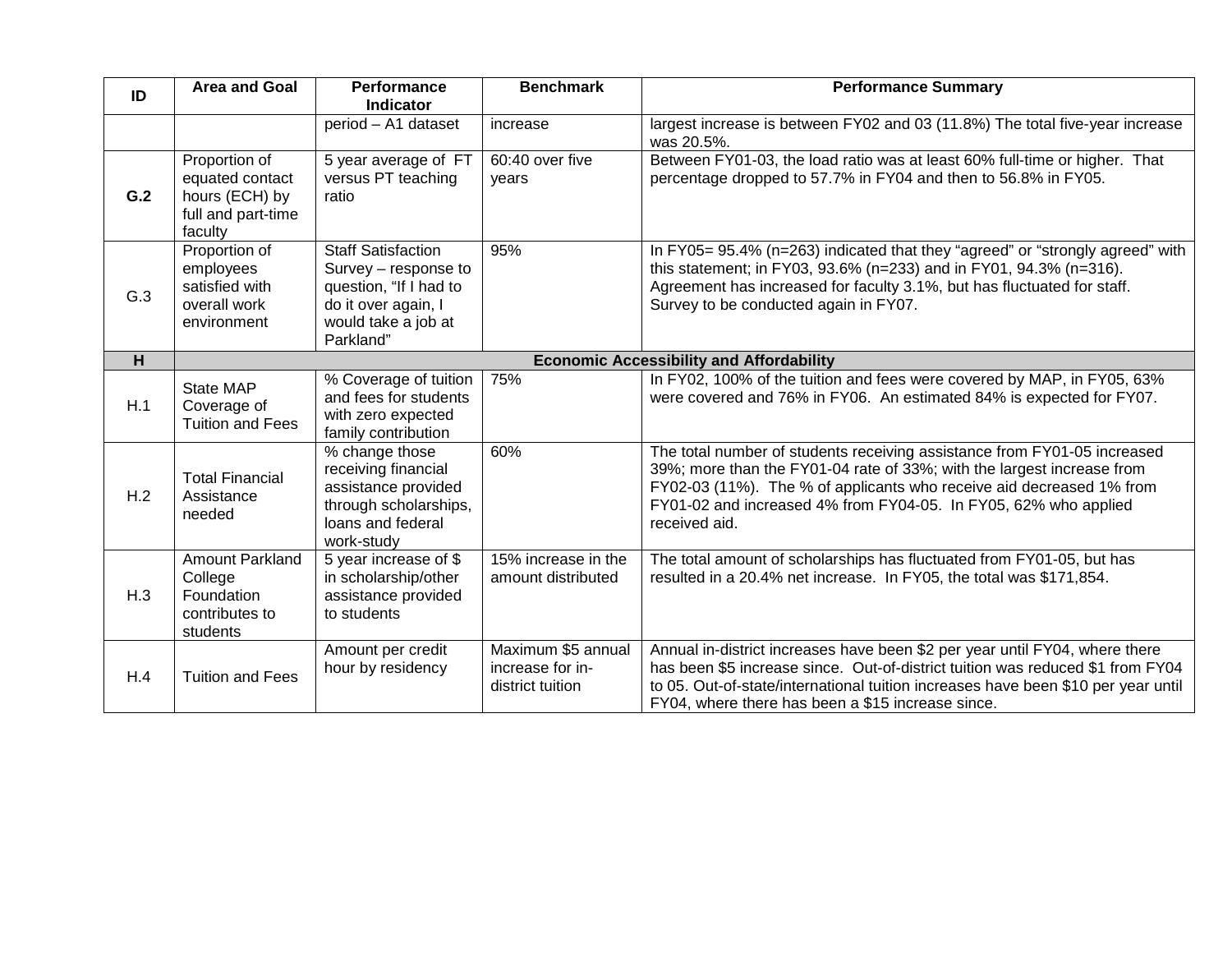| ID  | <b>Area and Goal</b>                                                                | <b>Performance</b><br><b>Indicator</b>                                                                                                 | <b>Benchmark</b>                                           | <b>Performance Summary</b>                                                                                                                                                                                                                                                                                     |  |  |
|-----|-------------------------------------------------------------------------------------|----------------------------------------------------------------------------------------------------------------------------------------|------------------------------------------------------------|----------------------------------------------------------------------------------------------------------------------------------------------------------------------------------------------------------------------------------------------------------------------------------------------------------------|--|--|
|     |                                                                                     | period - A1 dataset                                                                                                                    | increase                                                   | largest increase is between FY02 and 03 (11.8%) The total five-year increase<br>was 20.5%.                                                                                                                                                                                                                     |  |  |
| G.2 | Proportion of<br>equated contact<br>hours (ECH) by<br>full and part-time<br>faculty | 5 year average of FT<br>versus PT teaching<br>ratio                                                                                    | 60:40 over five<br>vears                                   | Between FY01-03, the load ratio was at least 60% full-time or higher. That<br>percentage dropped to 57.7% in FY04 and then to 56.8% in FY05.                                                                                                                                                                   |  |  |
| G.3 | Proportion of<br>employees<br>satisfied with<br>overall work<br>environment         | <b>Staff Satisfaction</b><br>Survey - response to<br>question, "If I had to<br>do it over again, I<br>would take a job at<br>Parkland" | 95%                                                        | In FY05= 95.4% (n=263) indicated that they "agreed" or "strongly agreed" with<br>this statement; in FY03, 93.6% (n=233) and in FY01, 94.3% (n=316).<br>Agreement has increased for faculty 3.1%, but has fluctuated for staff.<br>Survey to be conducted again in FY07.                                        |  |  |
| H   |                                                                                     |                                                                                                                                        |                                                            | <b>Economic Accessibility and Affordability</b>                                                                                                                                                                                                                                                                |  |  |
| H.1 | State MAP<br>Coverage of<br><b>Tuition and Fees</b>                                 | % Coverage of tuition<br>and fees for students<br>with zero expected<br>family contribution                                            | 75%                                                        | In FY02, 100% of the tuition and fees were covered by MAP, in FY05, 63%<br>were covered and 76% in FY06. An estimated 84% is expected for FY07.                                                                                                                                                                |  |  |
| H.2 | <b>Total Financial</b><br>Assistance<br>needed                                      | % change those<br>receiving financial<br>assistance provided<br>through scholarships,<br>loans and federal<br>work-study               | 60%                                                        | The total number of students receiving assistance from FY01-05 increased<br>39%; more than the FY01-04 rate of 33%; with the largest increase from<br>FY02-03 (11%). The % of applicants who receive aid decreased 1% from<br>FY01-02 and increased 4% from FY04-05. In FY05, 62% who applied<br>received aid. |  |  |
| H.3 | <b>Amount Parkland</b><br>College<br>Foundation<br>contributes to<br>students       | 5 year increase of \$<br>in scholarship/other<br>assistance provided<br>to students                                                    | 15% increase in the<br>amount distributed                  | The total amount of scholarships has fluctuated from FY01-05, but has<br>resulted in a 20.4% net increase. In FY05, the total was \$171,854.                                                                                                                                                                   |  |  |
| H.4 | <b>Tuition and Fees</b>                                                             | Amount per credit<br>hour by residency                                                                                                 | Maximum \$5 annual<br>increase for in-<br>district tuition | Annual in-district increases have been \$2 per year until FY04, where there<br>has been \$5 increase since. Out-of-district tuition was reduced \$1 from FY04<br>to 05. Out-of-state/international tuition increases have been \$10 per year until<br>FY04, where there has been a \$15 increase since.        |  |  |